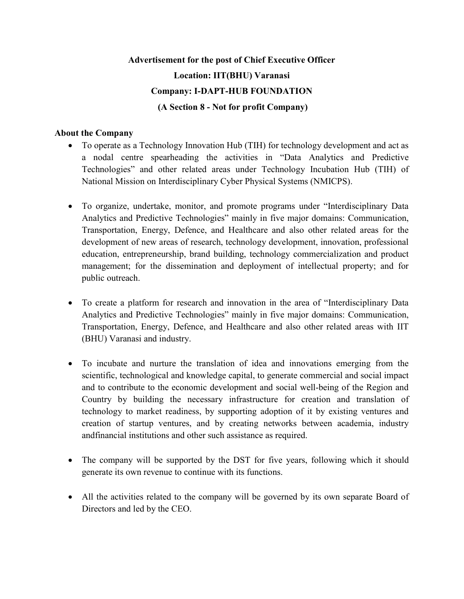# Advertisement for the post of Chief Executive Officer Location: IIT(BHU) Varanasi Company: I-DAPT-HUB FOUNDATION (A Section 8 - Not for profit Company)

## About the Company

- To operate as a Technology Innovation Hub (TIH) for technology development and act as a nodal centre spearheading the activities in "Data Analytics and Predictive Technologies" and other related areas under Technology Incubation Hub (TIH) of National Mission on Interdisciplinary Cyber Physical Systems (NMICPS).
- To organize, undertake, monitor, and promote programs under "Interdisciplinary Data Analytics and Predictive Technologies" mainly in five major domains: Communication, Transportation, Energy, Defence, and Healthcare and also other related areas for the development of new areas of research, technology development, innovation, professional education, entrepreneurship, brand building, technology commercialization and product management; for the dissemination and deployment of intellectual property; and for public outreach.
- To create a platform for research and innovation in the area of "Interdisciplinary Data Analytics and Predictive Technologies" mainly in five major domains: Communication, Transportation, Energy, Defence, and Healthcare and also other related areas with IIT (BHU) Varanasi and industry.
- To incubate and nurture the translation of idea and innovations emerging from the scientific, technological and knowledge capital, to generate commercial and social impact and to contribute to the economic development and social well-being of the Region and Country by building the necessary infrastructure for creation and translation of technology to market readiness, by supporting adoption of it by existing ventures and creation of startup ventures, and by creating networks between academia, industry andfinancial institutions and other such assistance as required.
- The company will be supported by the DST for five years, following which it should generate its own revenue to continue with its functions.
- All the activities related to the company will be governed by its own separate Board of Directors and led by the CEO.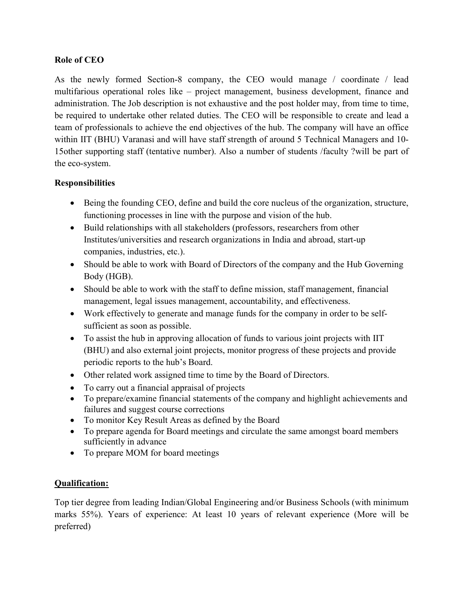# Role of CEO

As the newly formed Section-8 company, the CEO would manage / coordinate / lead multifarious operational roles like – project management, business development, finance and administration. The Job description is not exhaustive and the post holder may, from time to time, be required to undertake other related duties. The CEO will be responsible to create and lead a team of professionals to achieve the end objectives of the hub. The company will have an office within IIT (BHU) Varanasi and will have staff strength of around 5 Technical Managers and 10- 15other supporting staff (tentative number). Also a number of students /faculty ?will be part of the eco-system.

# **Responsibilities**

- Being the founding CEO, define and build the core nucleus of the organization, structure, functioning processes in line with the purpose and vision of the hub.
- Build relationships with all stakeholders (professors, researchers from other Institutes/universities and research organizations in India and abroad, start-up companies, industries, etc.).
- Should be able to work with Board of Directors of the company and the Hub Governing Body (HGB).
- Should be able to work with the staff to define mission, staff management, financial management, legal issues management, accountability, and effectiveness.
- Work effectively to generate and manage funds for the company in order to be selfsufficient as soon as possible.
- To assist the hub in approving allocation of funds to various joint projects with IIT (BHU) and also external joint projects, monitor progress of these projects and provide periodic reports to the hub's Board.
- Other related work assigned time to time by the Board of Directors.
- To carry out a financial appraisal of projects
- To prepare/examine financial statements of the company and highlight achievements and failures and suggest course corrections
- To monitor Key Result Areas as defined by the Board
- To prepare agenda for Board meetings and circulate the same amongst board members sufficiently in advance
- To prepare MOM for board meetings

## Qualification:

Top tier degree from leading Indian/Global Engineering and/or Business Schools (with minimum marks 55%). Years of experience: At least 10 years of relevant experience (More will be preferred)